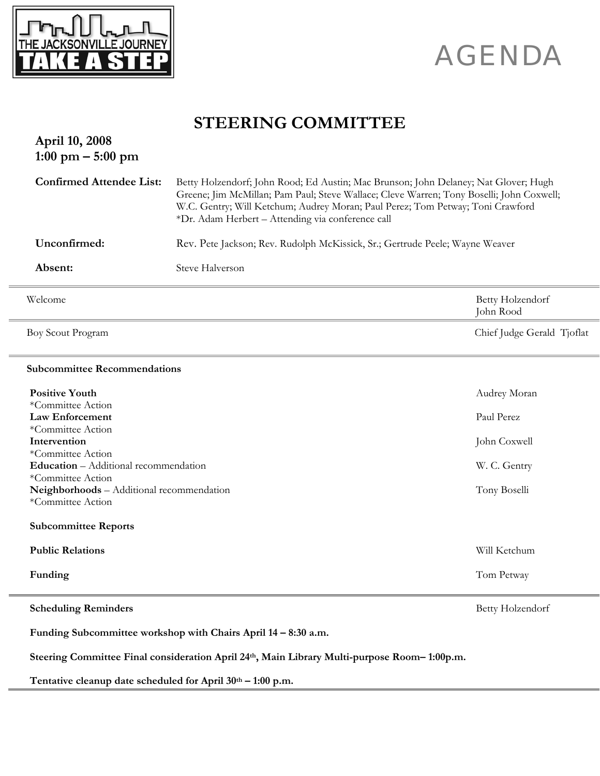

## AGENDA

## **STEERING COMMITTEE**

| April 10, 2008<br>$1:00 \text{ pm} - 5:00 \text{ pm}$                                        |                                                                                                                                                                                                                                                                                                                        |                               |
|----------------------------------------------------------------------------------------------|------------------------------------------------------------------------------------------------------------------------------------------------------------------------------------------------------------------------------------------------------------------------------------------------------------------------|-------------------------------|
| <b>Confirmed Attendee List:</b>                                                              | Betty Holzendorf; John Rood; Ed Austin; Mac Brunson; John Delaney; Nat Glover; Hugh<br>Greene; Jim McMillan; Pam Paul; Steve Wallace; Cleve Warren; Tony Boselli; John Coxwell;<br>W.C. Gentry; Will Ketchum; Audrey Moran; Paul Perez; Tom Petway; Toni Crawford<br>*Dr. Adam Herbert - Attending via conference call |                               |
| Unconfirmed:<br>Rev. Pete Jackson; Rev. Rudolph McKissick, Sr.; Gertrude Peele; Wayne Weaver |                                                                                                                                                                                                                                                                                                                        |                               |
| Absent:                                                                                      | Steve Halverson                                                                                                                                                                                                                                                                                                        |                               |
| Welcome                                                                                      |                                                                                                                                                                                                                                                                                                                        | Betty Holzendorf<br>John Rood |
| Boy Scout Program                                                                            |                                                                                                                                                                                                                                                                                                                        | Chief Judge Gerald Tjoflat    |
| <b>Subcommittee Recommendations</b>                                                          |                                                                                                                                                                                                                                                                                                                        |                               |
| <b>Positive Youth</b>                                                                        |                                                                                                                                                                                                                                                                                                                        | Audrey Moran                  |
| *Committee Action<br><b>Law Enforcement</b>                                                  |                                                                                                                                                                                                                                                                                                                        | Paul Perez                    |
| *Committee Action                                                                            |                                                                                                                                                                                                                                                                                                                        |                               |
| Intervention<br>*Committee Action                                                            |                                                                                                                                                                                                                                                                                                                        | John Coxwell                  |
| <b>Education</b> - Additional recommendation                                                 |                                                                                                                                                                                                                                                                                                                        | W. C. Gentry                  |
| *Committee Action<br>Neighborhoods - Additional recommendation                               |                                                                                                                                                                                                                                                                                                                        | Tony Boselli                  |
| *Committee Action                                                                            |                                                                                                                                                                                                                                                                                                                        |                               |
| <b>Subcommittee Reports</b>                                                                  |                                                                                                                                                                                                                                                                                                                        |                               |
| <b>Public Relations</b>                                                                      |                                                                                                                                                                                                                                                                                                                        | Will Ketchum                  |
| Funding                                                                                      |                                                                                                                                                                                                                                                                                                                        | Tom Petway                    |
| <b>Scheduling Reminders</b>                                                                  |                                                                                                                                                                                                                                                                                                                        | Betty Holzendorf              |
| Funding Subcommittee workshop with Chairs April 14 - 8:30 a.m.                               |                                                                                                                                                                                                                                                                                                                        |                               |
| Steering Committee Final consideration April 24th, Main Library Multi-purpose Room-1:00p.m.  |                                                                                                                                                                                                                                                                                                                        |                               |
| Tentative cleanup date scheduled for April 30th - 1:00 p.m.                                  |                                                                                                                                                                                                                                                                                                                        |                               |